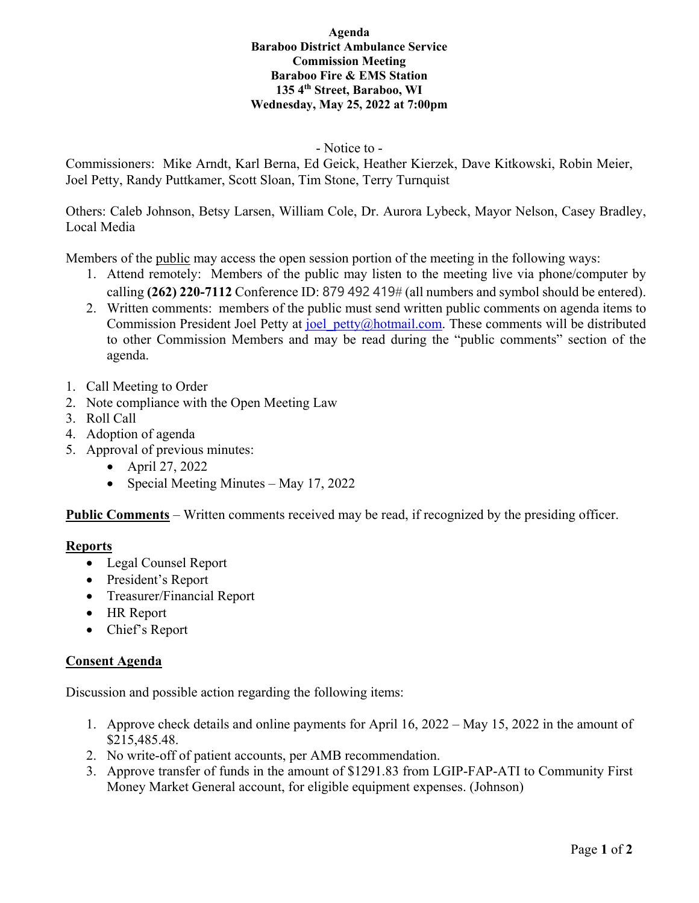#### **Agenda Baraboo District Ambulance Service Commission Meeting Baraboo Fire & EMS Station 135 4th Street, Baraboo, WI Wednesday, May 25, 2022 at 7:00pm**

## - Notice to -

Commissioners: Mike Arndt, Karl Berna, Ed Geick, Heather Kierzek, Dave Kitkowski, Robin Meier, Joel Petty, Randy Puttkamer, Scott Sloan, Tim Stone, Terry Turnquist

Others: Caleb Johnson, Betsy Larsen, William Cole, Dr. Aurora Lybeck, Mayor Nelson, Casey Bradley, Local Media

Members of the public may access the open session portion of the meeting in the following ways:

- 1. Attend remotely: Members of the public may listen to the meeting live via phone/computer by calling **(262) 220-7112** Conference ID: 879 492 419# (all numbers and symbol should be entered).
- 2. Written comments: members of the public must send written public comments on agenda items to Commission President Joel Petty at joel petty@hotmail.com. These comments will be distributed to other Commission Members and may be read during the "public comments" section of the agenda.
- 1. Call Meeting to Order
- 2. Note compliance with the Open Meeting Law
- 3. Roll Call
- 4. Adoption of agenda
- 5. Approval of previous minutes:
	- April 27, 2022
	- Special Meeting Minutes May 17, 2022

**Public Comments** – Written comments received may be read, if recognized by the presiding officer.

# **Reports**

- Legal Counsel Report
- President's Report
- Treasurer/Financial Report
- HR Report
- Chief's Report

# **Consent Agenda**

Discussion and possible action regarding the following items:

- 1. Approve check details and online payments for April 16, 2022 May 15, 2022 in the amount of \$215,485.48.
- 2. No write-off of patient accounts, per AMB recommendation.
- 3. Approve transfer of funds in the amount of \$1291.83 from LGIP-FAP-ATI to Community First Money Market General account, for eligible equipment expenses. (Johnson)